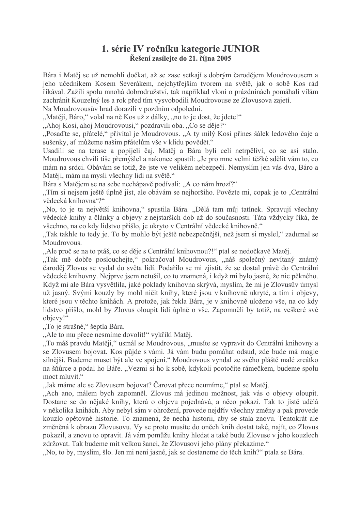# 1. série IV ročníku kategorie JUNIOR Řešení zasílejte do 21. října 2005

Bára i Matěj se už nemohli dočkat, až se zase setkají s dobrým čarodějem Moudrovousem a jeho učedníkem Kosem Severákem, nejchytřejším tvorem na světě, jak o sobě Kos rád říkával. Zažili spolu mnohá dobrodružství, tak například vloni o prázdninách pomáhali vílám zachránit Kouzelný les a rok před tím vysvobodili Moudrovouse ze Zlovusova zajetí.

Na Moudrovousův hrad dorazili v pozdním odpoledni.

"Matěji, Báro," volal na ně Kos už z dálky, "no to je dost, že jdete!"

"Ahoj Kosi, ahoj Moudrovousi," pozdravili oba. "Co se děje?"

"Posaďte se, přátelé," přivítal je Moudrovous. "A ty milý Kosi přines šálek ledového čaje a sušenky, ať můžeme našim přátelům vše v klidu povědět."

Usadili se na terase a popíjeli čaj. Matěj a Bára byli celí netrpěliví, co se asi stalo. Moudrovous chvíli tiše přemýšlel a nakonec spustil: "Je pro mne velmi těžké sdělit vám to, co mám na srdci. Obávám se totiž, že jste ve velikém nebezpečí. Nemyslím jen vás dva, Báro a Matěji, mám na mysli všechny lidi na světě."

Bára s Matějem se na sebe nechápavě podívali: "A co nám hrozí?"

"Tím si nejsem ještě úplně jist, ale obávám se nejhoršího. Povězte mi, copak je to "Centrální vědecká knihovna"?"

"No, to je ta největší knihovna," spustila Bára. "Dělá tam můj tatínek. Spravují všechny vědecké knihy a články a objevy z nejstarších dob až do současnosti. Táta vždycky říká, že všechno, na co kdy lidstvo přišlo, je ukryto v Centrální vědecké knihovně."

"Tak takhle to tedy je. To by mohlo být ještě nebezpečnější, než jsem si myslel," zadumal se Moudrovous.

"Ale proč se na to ptáš, co se děje s Centrální knihovnou?!" ptal se nedočkavě Matěj.

"Tak mě dobře poslouchejte," pokračoval Moudrovous, "náš společný nevítaný známý čaroděj Zlovus se vydal do světa lidí. Podařilo se mi zjistit, že se dostal právě do Centrální vědecké knihovny. Nejprve jsem netušil, co to znamená, i když mi bylo jasné, že nic pěkného, Když mi ale Bára vysvětlila, jaké poklady knihovna skrývá, myslím, že mi je Zlovusův úmysl už jasný. Svými kouzly by mohl ničit knihy, které jsou v knihovně ukryté, a tím i objevy, které jsou v těchto knihách. A protože, jak řekla Bára, je v knihovně uloženo vše, na co kdy lidstvo přišlo, mohl by Zlovus oloupit lidi úplně o vše. Zapomněli by totiž, na veškeré své objevy!"

"To je strašné," šeptla Bára.

"Ale to mu přece nesmíme dovolit!" vykřikl Matěj.

"To máš pravdu Matěji," usmál se Moudrovous, "musíte se vypravit do Centrální knihovny a se Zlovusem bojovat. Kos půjde s vámi. Já vám budu pomáhat odsud, zde bude má magie silnější. Budeme muset být ale ve spojení." Moudrovous vyndal ze svého pláště malé zrcátko na šňůrce a podal ho Báře. "Vezmi si ho k sobě, kdykoli pootočíte rámečkem, budeme spolu moct mluvit."

"Jak máme ale se Zlovusem bojovať? Čarovat přece neumíme," ptal se Matěj.

"Ach ano, málem bych zapomněl. Zlovus má jedinou možnost, jak vás o objevy oloupit. Dostane se do nějaké knihy, která o objevu pojednává, a něco pokazí. Tak to jistě udělá v několika knihách. Aby nebyl sám v ohrožení, provede nejdřív všechny změny a pak provede kouzlo opětovné historie. To znamená, že nechá historii, aby se stala znovu. Tentokrát ale změněná k obrazu Zlovusovu. Vy se proto musíte do oněch knih dostat také, najít, co Zlovus pokazil, a znovu to opravit. Já vám pomůžu knihy hledat a také budu Zlovuse v jeho kouzlech zdržovat. Tak budeme mít velkou šanci, že Zlovusovi jeho plány překazíme."

"No, to by, myslím, šlo. Jen mi není jasné, jak se dostaneme do těch knih?" ptala se Bára.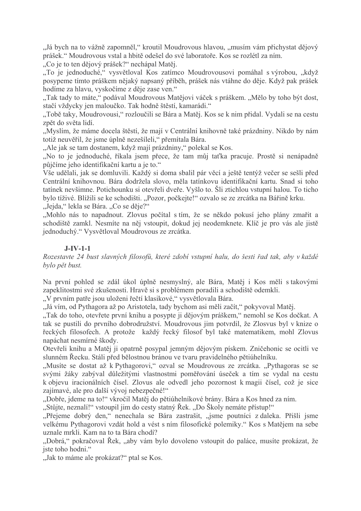"Já bych na to vážně zapomněl," kroutil Moudrovous hlavou, "musím vám přichystat dějový prášek." Moudrovous vstal a hbitě odešel do své laboratoře. Kos se rozlétl za ním.

"Co je to ten dějový prášek?" nechápal Matěj.

"To je jednoduché," vysvětloval Kos zatímco Moudrovousovi pomáhal s výrobou. "kdvž posypeme tímto práškem nějaký napsaný příběh, prášek nás vtáhne do děje. Když pak prášek hodíme za hlavu, vyskočíme z děje zase ven."

"Tak tady to máte," podával Moudrovous Matějovi váček s práškem. "Mělo by toho být dost, stačí vždycky jen maloučko. Tak hodně štěstí, kamarádi."

"Tobě taky, Moudrovousi," rozloučili se Bára a Matěj. Kos se k nim přidal. Vydali se na cestu zpět do světa lidí.

"Myslím, že máme docela štěstí, že mají v Centrální knihovně také prázdniny. Nikdo by nám totiž neuvěřil, že jsme úplně nezešíleli," přemítala Bára.

"Ale jak se tam dostanem, když mají prázdniny," polekal se Kos.

"No to je jednoduché, říkala jsem přece, že tam můj taťka pracuje. Prostě si nenápadně půjčíme jeho identifikační kartu a je to."

Vše udělali, jak se domluvili. Každý si doma sbalil pár věcí a ještě tentýž večer se sešli před Centrální knihovnou. Bára dodržela slovo, měla tatínkovu identifikační kartu. Snad si toho tatinek nevšimne. Potichounku si otevřeli dveře. Vyšlo to. Šli ztichlou vstupní halou. To ticho bylo tíživé. Blížili se ke schodišti. "Pozor, počkejte!" ozvalo se ze zrcátka na Bářině krku.

"Jejda," lekla se Bára. "Co se děje?"

"Mohlo nás to napadnout. Zlovus počítal s tím, že se někdo pokusí jeho plány zmařit a schodiště zamkl. Nesmíte na něj vstoupit, dokud jej neodemknete. Klíč je pro vás ale jistě jednoduchý." Vysvětloval Moudrovous ze zrcátka.

## $J<sub>-IV-1-1</sub>$

Rozestavte 24 bust slavných filosofů, které zdobí vstupní halu, do šesti řad tak, aby v každé bylo pět bust.

Na první pohled se zdál úkol úplně nesmyslný, ale Bára, Matěj i Kos měli s takovými zapeklitostmi své zkušenosti. Hravě si s problémem poradili a schodiště odemkli.

"V prvním patře jsou uloženi řečtí klasikové," vysvětlovala Bára.

"Já vím, od Pythagora až po Aristotela, tady bychom asi měli začít," pokyvoval Matěj.

"Tak do toho, otevřete první knihu a posypte ji dějovým práškem," nemohl se Kos dočkat. A tak se pustili do prvního dobrodružství. Moudrovous jim potvrdil, že Zlosvus byl v knize o řeckých filosofech. A protože každý řecký filosof byl také matematikem, mohl Zlovus napáchat nesmírné škody.

Otevřeli knihu a Matěj ji opatrně posypal jemným dějovým pískem. Zničehonic se ocitli ve slunném Řecku. Stáli před bělostnou bránou ve tvaru pravidelného pětiúhelníku.

"Musíte se dostat až k Pythagorovi," ozval se Moudrovous ze zrcátka. "Pythagoras se se svými žáky zabýval důležitými vlastnostmi poměřování úseček a tím se vydal na cestu k objevu iracionálních čísel. Zlovus ale odvedl jeho pozornost k magii čísel, což je sice zajímavé, ale pro další vývoj nebezpečné!"

"Dobře, jdeme na to!" vkročil Matěj do pětiúhelníkové brány. Bára a Kos hned za ním.

"Stůjte, neznalí!" vstoupil jim do cesty statný Řek. "Do Školy nemáte přístup!"

"Přejeme dobrý den," nenechala se Bára zastrašit, "jsme poutníci z daleka. Přišli jsme velkému Pythagorovi vzdát hold a vést s ním filosofické polemiky." Kos s Matějem na sebe uznale mrkli. Kam na to ta Bára chodí?

"Dobrá," pokračoval Řek, "aby vám bylo dovoleno vstoupit do paláce, musíte prokázat, že iste toho hodni."

"Jak to máme ale prokázat?" ptal se Kos.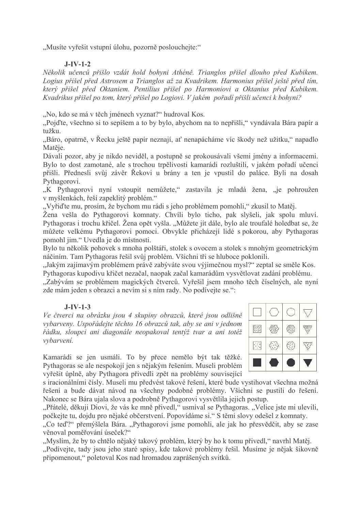"Musíte vyřešit vstupní úlohu, pozorně poslouchejte:"

## $J<sub>-</sub>IV<sub>-</sub>1-2$

Několik učenců přišlo vzdát hold bohyni Athéně. Trianglos přišel dlouho před Kubikem. Logius přišel před Astrosem a Trianglos až za Kvadrikem. Harmonius přišel ještě před tím, který přišel před Oktaniem. Pentilius přišel po Harmoniovi a Oktanius před Kubikem. Kvadrikus přišel po tom, který přišel po Logiovi. V jakém pořadí přišli učenci k bohyni?

"No, kdo se má v těch jménech vyznat?" hudroval Kos.

"Pojďte, všechno si to sepíšem a to by bylo, abychom na to nepřišli." vyndávala Bára papír a tužku

"Báro, opatrně, v Řecku ještě papír neznají, ať nenapácháme víc škody než užitku," napadlo Matěje.

Dávali pozor, aby je nikdo neviděl, a postupně se prokousávali všemi jmény a informacemi. Bylo to dost zamotané, ale s trochou trpělivosti kamarádi rozluštili, v jakém pořadí učenci přišli. Přednesli svůj závěr Řekovi u brány a ten je vpustil do paláce. Byli na dosah Pythagorovi.

"K Pythagorovi nyní vstoupit nemůžete," zastavila je mladá žena, "je pohroužen v myšlenkách, řeší zapeklitý problém."

"Vyřiďte mu, prosím, že bychom mu rádi s jeho problémem pomohli," zkusil to Matěj.<br>Žena vešla do Pythagorovi komnaty. Chvíli bylo ticho, pak slyšeli, jak spolu mluví. Pythagoras i trochu křičel. Žena opět vyšla. "Můžete jít dále, bylo ale troufalé holedbat se, že můžete velkému Pythagorovi pomoci. Obvykle přicházejí lidé s pokorou, aby Pythagoras pomohl jim." Uvedla je do místnosti.

Bylo tu několik pohovek s mnoha polštáři, stolek s ovocem a stolek s mnohým geometrickým náčiním. Tam Pythagoras řešil svůj problém. Všichni tři se hluboce poklonili.

"Jakým zajímavým problémem právě zabýváte svou výjimečnou mysl?" zeptal se směle Kos. Pythagoras kupodivu křičet nezačal, naopak začal kamarádům vysvětlovat zadání problému.

"Zabývám se problémem magických čtverců. Vyřešil jsem mnoho těch číselných, ale nyní zde mám jeden s obrazci a nevím si s ním rady. No podívejte se.":

#### $J<sub>-</sub>IV-1-3$

Ve čtverci na obrázku jsou 4 skupiny obrazců, které jsou odlišně vybarveny. Uspořádejte těchto 16 obrazců tak, aby se ani v jednom řádku, sloupci ani diagonále neopakoval tentýž tvar a ani totéž vybarvení.

Kamarádi se jen usmáli. To by přece nemělo být tak těžké. Pythagoras se ale nespokojí jen s nějakým řešením. Museli problém vyřešit úplně, aby Pythagora přivedli zpět na problémy související



s iracionálními čísly. Museli mu předvést takové řešení, které bude vystihovat všechna možná řešení a bude dávat návod na všechny podobné problémy. Všichni se pustili do řešení. Nakonec se Bára ujala slova a podrobně Pythagorovi vysvětlila jejich postup.

"Přátelé, děkuji Diovi, že vás ke mně přivedl," usmíval se Pythagoras. "Velice jste mi ulevili, počkejte tu, dojdu pro nějaké občerstvení. Popovídáme si." S těmi slovy odešel z komnaty.

"Co ted?" přemýšlela Bára. "Pythagorovi jsme pomohli, ale jak ho přesvědčit, aby se zase věnoval poměřování úseček?"

"Myslím, že by to chtělo nějaký takový problém, který by ho k tomu přivedl," navrhl Matěj.

"Podívejte, tady jsou jeho staré spisy, kde takové problémy řešil. Musíme je nějak šikovně připomenout," poletoval Kos nad hromadou zaprášených svitků.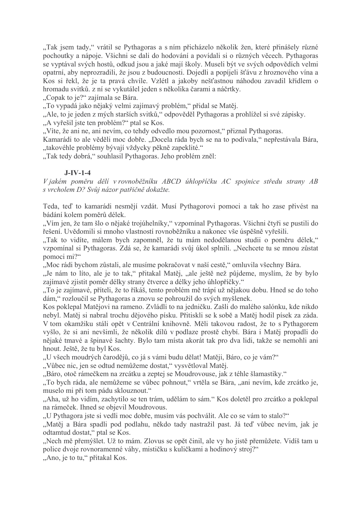"Tak jsem tady," vrátil se Pythagoras a s ním přicházelo několik žen, které přinášely různé pochoutky a nápoje. Všichni se dali do hodování a povídali si o různých věcech. Pythagoras se vyptával svých hostů, odkud jsou a jaké mají školy. Museli být ve svých odpovědích velmi opatrní, aby neprozradili, že jsou z budoucnosti. Dojedli a popíjeli šťávu z hroznového vína a Kos si řekl, že je ta pravá chvíle. Vzlétl a jakoby nešťastnou náhodou zavadil křídlem o hromadu svitků. z ní se vykutálel jeden s několika čarami a náčrtky.

"Copak to je?" zajímala se Bára.

"To vypadá jako nějaký velmi zajímavý problém," přidal se Matěj.

"Ale, to je jeden z mých starších svitků," odpověděl Pythagoras a prohlížel si své zápisky.

"A vyřešil jste ten problém?" ptal se Kos.

"Víte, že ani ne, ani nevím, co tehdy odvedlo mou pozornost," přiznal Pythagoras.

Kamarádi to ale věděli moc dobře. "Docela ráda bych se na to podívala," nepřestávala Bára, "takovéhle problémy bývají vždycky pěkně zapeklité."

"Tak tedy dobrá," souhlasil Pythagoras. Jeho problém zněl:

## $J<sub>-</sub>IV<sub>-</sub>1-4$

V jakém poměru dělí v rovnoběžníku ABCD úhlopříčku AC spojnice středu strany AB s vrcholem D? Svůj názor patřičně dokažte.

Teda, teď to kamarádi nesmějí vzdát. Musí Pythagorovi pomoci a tak ho zase přivést na bádání kolem poměrů délek.

"Vím jen, že tam šlo o nějaké trojúhelníky," vzpomínal Pythagoras. Všichni čtyři se pustili do řešení. Uvědomili si mnoho vlastností rovnoběžníku a nakonec vše úspěšně vyřešili.

"Tak to vidíte, málem bych zapomněl, že tu mám nedodělanou studii o poměru délek," vzpomínal si Pythagoras. Zdá se, že kamarádi svůj úkol splnili. "Nechcete tu se mnou zůstat pomoci mi?"

"Moc rádi bychom zůstali, ale musíme pokračovat v naší cestě," omluvila všechny Bára.

"Je nám to líto, ale je to tak," přitakal Matěj, "ale ještě než půjdeme, myslím, že by bylo zajímavé zjistit poměr délky strany čtverce a délky jeho úhlopříčky."

"To je zajímavé, příteli, že to říkáš, tento problém mě trápí už nějakou dobu. Hned se do toho dám," rozloučil se Pythagoras a znovu se pohroužil do svých myšlenek.

Kos poklepal Matějovi na rameno. Zvládli to na jedničku. Zašli do malého salónku, kde nikdo nebyl. Matěj si nabral trochu dějového písku. Přitiskli se k sobě a Matěj hodil písek za záda. V tom okamžiku stáli opět v Centrální knihovně. Měli takovou radost, že to s Pythagorem vyšlo, že si ani nevšimli, že několik dílů v podlaze prostě chybí. Bára i Matěj propadli do nějaké tmavé a špinavé šachty. Bylo tam místa akorát tak pro dva lidi, takže se nemohli ani hnout. Ještě, že tu byl Kos.

"U všech moudrých čarodějů, co já s vámi budu dělat! Matěji, Báro, co je vám?"

"Vůbec nic, jen se odtud nemůžeme dostat," vysvětloval Matěj.

"Báro, otoč rámečkem na zrcátku a zeptej se Moudrovouse, jak z téhle šlamastiky."

"To bych ráda, ale nemůžeme se vůbec pohnout," vrtěla se Bára, "ani nevím, kde zrcátko je, muselo mi při tom pádu sklouznout."

"Aha, už ho vidím, zachytilo se ten trám, udělám to sám." Kos doletěl pro zrcátko a poklepal na rámeček. Ihned se objevil Moudrovous.

"U Pythagora jste si vedli moc dobře, musím vás pochválit. Ale co se vám to stalo?"

"Matěj a Bára spadli pod podlahu, někdo tady nastražil past. Já teď vůbec nevím, jak je odtamtud dostat," ptal se Kos.

"Nech mě přemýšlet. Už to mám. Zlovus se opět činil, ale vy ho jistě přemůžete. Vidíš tam u police dvoje rovnoramenné váhy, mističku s kuličkami a hodinový stroj?"

"Ano, je to tu," přitakal Kos.